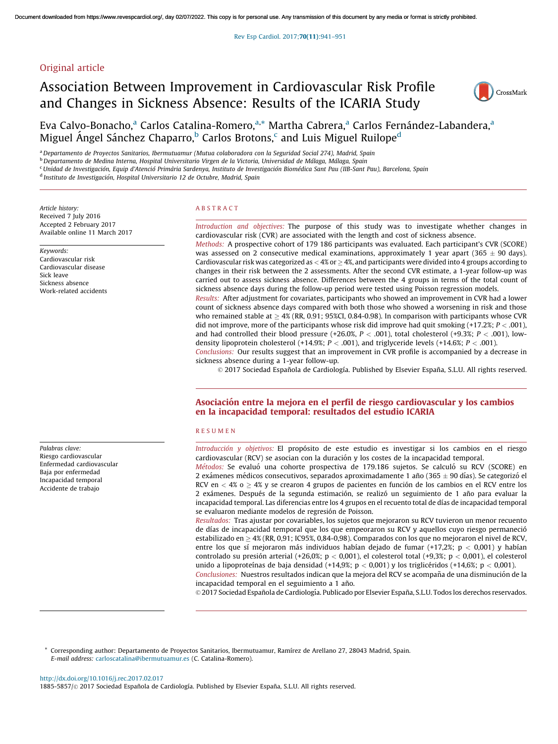# Original article

# Association Between Improvement in Cardiovascular Risk Profile and Changes in Sickness Absence: Results of the ICARIA Study



Eva Calvo-Bonacho,<sup>a</sup> Carlos Catalina-Romero,<sup>a,\*</sup> Martha Cabrera,<sup>a</sup> Carlos Fernández-Labandera,<sup>a</sup> Miguel Ángel Sánchez Chaparro,<sup>b</sup> Carlos Brotons,<sup>c</sup> and Luis Miguel Ruilope<sup>d</sup>

a Departamento de Proyectos Sanitarios, Ibermutuamur (Mutua colaboradora con la Seguridad Social 274), Madrid, Spain

<sup>b</sup> Departamento de Medina Interna, Hospital Universitario Virgen de la Victoria, Universidad de Málaga, Málaga, Spain

<sup>c</sup> Unidad de Investigación, Equip d'Atenció Primària Sardenya, Instituto de Investigación Biomédica Sant Pau (IIB-Sant Pau), Barcelona, Spain

<sup>d</sup> Instituto de Investigación, Hospital Universitario 12 de Octubre, Madrid, Spain

Article history: Received 7 July 2016 Accepted 2 February 2017 Available online 11 March 2017

Keywords: Cardiovascular risk Cardiovascular disease Sick leave Sickness absence Work-related accidents

Palabras clave: Riesgo cardiovascular Enfermedad cardiovascular Baja por enfermedad Incapacidad temporal Accidente de trabajo

### A B S T R A C T

Introduction and objectives: The purpose of this study was to investigate whether changes in cardiovascular risk (CVR) are associated with the length and cost of sickness absence.

Methods: A prospective cohort of 179 186 participants was evaluated. Each participant's CVR (SCORE) was assessed on 2 consecutive medical examinations, approximately 1 year apart (365  $\pm$  90 days). Cardiovascular risk was categorized as  $<$  4% or  $\geq$  4%, and participants were divided into 4 groups according to changes in their risk between the 2 assessments. After the second CVR estimate, a 1-year follow-up was carried out to assess sickness absence. Differences between the 4 groups in terms of the total count of sickness absence days during the follow-up period were tested using Poisson regression models.

Results: After adjustment for covariates, participants who showed an improvement in CVR had a lower count of sickness absence days compared with both those who showed a worsening in risk and those who remained stable at  $\geq 4\%$  (RR, 0.91; 95%CI, 0.84-0.98). In comparison with participants whose CVR did not improve, more of the participants whose risk did improve had quit smoking  $(+17.2\%; P < .001)$ , and had controlled their blood pressure  $(+26.0\%, P < .001)$ , total cholesterol  $(+9.3\%, P < .001)$ , lowdensity lipoprotein cholesterol (+14.9%;  $P < .001$ ), and triglyceride levels (+14.6%;  $P < .001$ ). Conclusions: Our results suggest that an improvement in CVR profile is accompanied by a decrease in

sickness absence during a 1-year follow-up.

 $© 2017 Sociedad Española de Cardiología. Published by Elsevier España, S.L.U. All rights reserved.$ 

# Asociacio´n entre la mejora en el perfil de riesgo cardiovascular y los cambios en la incapacidad temporal: resultados del estudio ICARIA

### R E S U M E N

Introducción y objetivos: El propósito de este estudio es investigar si los cambios en el riesgo cardiovascular (RCV) se asocian con la duración y los costes de la incapacidad temporal. Métodos: Se evaluó una cohorte prospectiva de 179.186 sujetos. Se calculó su RCV (SCORE) en

2 exámenes médicos consecutivos, separados aproximadamente 1 año (365  $\pm$  90 días). Se categorizó el RCV en  $<$  4% o  $\geq$  4% y se crearon 4 grupos de pacientes en función de los cambios en el RCV entre los 2 exámenes. Después de la segunda estimación, se realizó un seguimiento de 1 año para evaluar la incapacidad temporal. Las diferencias entre los 4 grupos en el recuento total de días de incapacidad temporal se evaluaron mediante modelos de regresión de Poisson.

Resultados: Tras ajustar por covariables, los sujetos que mejoraron su RCV tuvieron un menor recuento de días de incapacidad temporal que los que empeoraron su RCV y aquellos cuyo riesgo permaneció estabilizado en  $\geq$  4% (RR, 0,91; IC95%, 0,84-0,98). Comparados con los que no mejoraron el nivel de RCV, entre los que sí mejoraron más individuos habían dejado de fumar  $(+17,2\%)$ ; p < 0,001) y habían controlado su presión arterial (+26,0%; p < 0,001), el colesterol total (+9,3%; p < 0,001), el colesterol unido a lipoproteínas de baja densidad (+14,9%; p < 0,001) y los triglicéridos (+14,6%; p < 0,001). Conclusiones: Nuestros resultados indican que la mejora del RCV se acompaña de una disminución de la incapacidad temporal en el seguimiento a 1 año.

© 2017 Sociedad Española de Cardiología. Publicado por Elsevier España, S.L.U. Todos los derechos reservados.

\* Corresponding author: Departamento de Proyectos Sanitarios, Ibermutuamur, Ramı´rez de Arellano 27, 28043 Madrid, Spain. E-mail address: [carloscatalina@ibermutuamur.es](mailto:carloscatalina@ibermutuamur.es) (C. Catalina-Romero).

<http://dx.doi.org/10.1016/j.rec.2017.02.017>

1885-5857/© 2017 Sociedad Española de Cardiología. Published by Elsevier España, S.L.U. All rights reserved.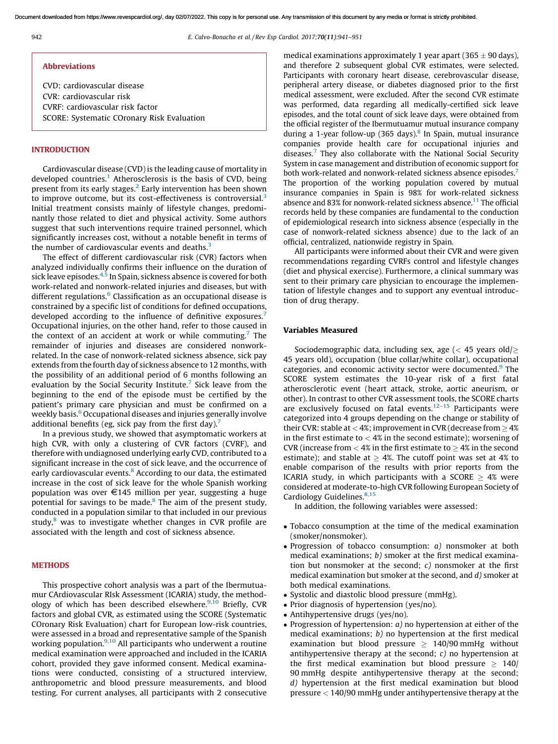### Abbreviations

CVD: cardiovascular disease CVR: cardiovascular risk CVRF: cardiovascular risk factor SCORE: Systematic COronary Risk Evaluation

# INTRODUCTION

Cardiovascular disease (CVD) is the leading cause of mortality in developed countries.<sup>[1](#page-10-0)</sup> Atherosclerosis is the basis of CVD, being present from its early stages.<sup>[2](#page-10-0)</sup> Early intervention has been shown to improve outcome, but its cost-effectiveness is controversial.<sup>[3](#page-10-0)</sup> Initial treatment consists mainly of lifestyle changes, predominantly those related to diet and physical activity. Some authors suggest that such interventions require trained personnel, which significantly increases cost, without a notable benefit in terms of the number of cardiovascular events and deaths.<sup>[3](#page-10-0)</sup>

The effect of different cardiovascular risk (CVR) factors when analyzed individually confirms their influence on the duration of sick leave episodes.<sup>[4,5](#page-10-0)</sup> In Spain, sickness absence is covered for both work-related and nonwork-related injuries and diseases, but with different regulations.<sup>[6](#page-10-0)</sup> Classification as an occupational disease is constrained by a specific list of conditions for defined occupations, developed according to the influence of definitive exposures.<sup>[7](#page-10-0)</sup> Occupational injuries, on the other hand, refer to those caused in the context of an accident at work or while commuting.<sup>[7](#page-10-0)</sup> The remainder of injuries and diseases are considered nonworkrelated. In the case of nonwork-related sickness absence, sick pay extends from the fourth day of sickness absence to 12 months, with the possibility of an additional period of 6 months following an evaluation by the Social Security Institute.<sup>[7](#page-10-0)</sup> Sick leave from the beginning to the end of the episode must be certified by the patient's primary care physician and must be confirmed on a weekly basis.<sup>[6](#page-10-0)</sup> Occupational diseases and injuries generally involve additional benefits (eg, sick pay from the first day).<sup>[7](#page-10-0)</sup>

In a previous study, we showed that asymptomatic workers at high CVR, with only a clustering of CVR factors (CVRF), and therefore with undiagnosed underlying early CVD, contributed to a significant increase in the cost of sick leave, and the occurrence of early cardiovascular events.<sup>[8](#page-10-0)</sup> According to our data, the estimated increase in the cost of sick leave for the whole Spanish working population was over  $\epsilon$ 145 million per year, suggesting a huge potential for savings to be made.<sup>[8](#page-10-0)</sup> The aim of the present study, conducted in a population similar to that included in our previous study, $8$  was to investigate whether changes in CVR profile are associated with the length and cost of sickness absence.

# **METHODS**

This prospective cohort analysis was a part of the Ibermutuamur CArdiovascular RIsk Assessment (ICARIA) study, the methodology of which has been described elsewhere. $9,10$  Briefly, CVR factors and global CVR, as estimated using the SCORE (Systematic COronary Risk Evaluation) chart for European low-risk countries, were assessed in a broad and representative sample of the Spanish working population.<sup>[9,10](#page-10-0)</sup> All participants who underwent a routine medical examination were approached and included in the ICARIA cohort, provided they gave informed consent. Medical examinations were conducted, consisting of a structured interview, anthropometric and blood pressure measurements, and blood testing. For current analyses, all participants with 2 consecutive

medical examinations approximately 1 year apart (365  $\pm$  90 days), and therefore 2 subsequent global CVR estimates, were selected. Participants with coronary heart disease, cerebrovascular disease, peripheral artery disease, or diabetes diagnosed prior to the first medical assessment, were excluded. After the second CVR estimate was performed, data regarding all medically-certified sick leave episodes, and the total count of sick leave days, were obtained from the official register of the Ibermutuamur mutual insurance company during a 1-year follow-up (365 days).<sup>[8](#page-10-0)</sup> In Spain, mutual insurance companies provide health care for occupational injuries and diseases.<sup>[7](#page-10-0)</sup> They also collaborate with the National Social Security System in case management and distribution of economic support for both work-related and nonwork-related sickness absence episodes.<sup>[7](#page-10-0)</sup> The proportion of the working population covered by mutual insurance companies in Spain is 98% for work-related sickness absence and 83% for nonwork-related sickness absence.<sup>[11](#page-10-0)</sup> The official records held by these companies are fundamental to the conduction of epidemiological research into sickness absence (especially in the case of nonwork-related sickness absence) due to the lack of an official, centralized, nationwide registry in Spain.

All participants were informed about their CVR and were given recommendations regarding CVRFs control and lifestyle changes (diet and physical exercise). Furthermore, a clinical summary was sent to their primary care physician to encourage the implementation of lifestyle changes and to support any eventual introduction of drug therapy.

### Variables Measured

Sociodemographic data, including sex, age  $\langle$  < 45 years old $\rangle$ > 45 years old), occupation (blue collar/white collar), occupational categories, and economic activity sector were documented.<sup>[9](#page-10-0)</sup> The SCORE system estimates the 10-year risk of a first fatal atherosclerotic event (heart attack, stroke, aortic aneurism, or other). In contrast to other CVR assessment tools, the SCORE charts are exclusively focused on fatal events.<sup>[12–15](#page-10-0)</sup> Participants were categorized into 4 groups depending on the change or stability of their CVR: stable at  $<$  4%; improvement in CVR (decrease from  $\geq$  4% in the first estimate to  $<$  4% in the second estimate); worsening of CVR (increase from  $<$  4% in the first estimate to  $\geq$  4% in the second estimate); and stable at  $\geq$  4%. The cutoff point was set at 4% to enable comparison of the results with prior reports from the ICARIA study, in which participants with a SCORE  $\geq$  4% were considered at moderate-to-high CVR following European Society of Cardiology Guidelines.<sup>[8,15](#page-10-0)</sup>

In addition, the following variables were assessed:

- Tobacco consumption at the time of the medical examination (smoker/nonsmoker).
- Progression of tobacco consumption:  $a$ ) nonsmoker at both medical examinations; b) smoker at the first medical examination but nonsmoker at the second; c) nonsmoker at the first medical examination but smoker at the second, and d) smoker at both medical examinations.
- Systolic and diastolic blood pressure (mmHg).
- Prior diagnosis of hypertension (yes/no).
- Antihypertensive drugs (yes/no).
- Progression of hypertension:  $a$ ) no hypertension at either of the medical examinations; b) no hypertension at the first medical examination but blood pressure  $\geq 140/90$  mmHg without antihypertensive therapy at the second;  $c$ ) no hypertension at the first medical examination but blood pressure  $\geq 140/$ 90 mmHg despite antihypertensive therapy at the second; d) hypertension at the first medical examination but blood pressure < 140/90 mmHg under antihypertensive therapy at the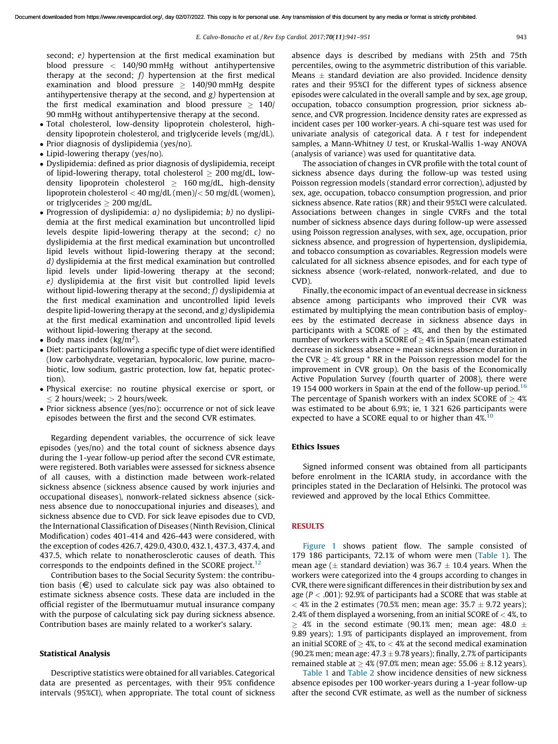second; e) hypertension at the first medical examination but blood pressure < 140/90 mmHg without antihypertensive therapy at the second;  $f$ ) hypertension at the first medical examination and blood pressure  $\geq 140/90$  mmHg despite antihypertensive therapy at the second, and  $g$ ) hypertension at the first medical examination and blood pressure  $\geq 140/$ 90 mmHg without antihypertensive therapy at the second.

- Total cholesterol, low-density lipoprotein cholesterol, highdensity lipoprotein cholesterol, and triglyceride levels (mg/dL).
- Prior diagnosis of dyslipidemia (yes/no).
- Lipid-lowering therapy (yes/no).
- Dyslipidemia: defined as prior diagnosis of dyslipidemia, receipt of lipid-lowering therapy, total cholesterol  $> 200$  mg/dL, lowdensity lipoprotein cholesterol  $> 160$  mg/dL, high-density lipoprotein cholesterol < 40 mg/dL (men)/< 50 mg/dL (women), or triglycerides  $\geq 200$  mg/dL.
- Progression of dyslipidemia:  $a$ ) no dyslipidemia;  $b$ ) no dyslipidemia at the first medical examination but uncontrolled lipid levels despite lipid-lowering therapy at the second; c) no dyslipidemia at the first medical examination but uncontrolled lipid levels without lipid-lowering therapy at the second; d) dyslipidemia at the first medical examination but controlled lipid levels under lipid-lowering therapy at the second; e) dyslipidemia at the first visit but controlled lipid levels without lipid-lowering therapy at the second;  $f$ ) dyslipidemia at the first medical examination and uncontrolled lipid levels despite lipid-lowering therapy at the second, and g) dyslipidemia at the first medical examination and uncontrolled lipid levels without lipid-lowering therapy at the second.
- Body mass index  $(kg/m<sup>2</sup>)$ .
- Diet: participants following a specific type of diet were identified (low carbohydrate, vegetarian, hypocaloric, low purine, macrobiotic, low sodium, gastric protection, low fat, hepatic protection).
- Physical exercise: no routine physical exercise or sport, or  $\leq$  2 hours/week;  $>$  2 hours/week.
- Prior sickness absence (yes/no): occurrence or not of sick leave episodes between the first and the second CVR estimates.

Regarding dependent variables, the occurrence of sick leave episodes (yes/no) and the total count of sickness absence days during the 1-year follow-up period after the second CVR estimate, were registered. Both variables were assessed for sickness absence of all causes, with a distinction made between work-related sickness absence (sickness absence caused by work injuries and occupational diseases), nonwork-related sickness absence (sickness absence due to nonoccupational injuries and diseases), and sickness absence due to CVD. For sick leave episodes due to CVD, the International Classification of Diseases (Ninth Revision, Clinical Modification) codes 401-414 and 426-443 were considered, with the exception of codes 426.7, 429.0, 430.0, 432.1, 437.3, 437.4, and 437.5, which relate to nonatherosclerotic causes of death. This corresponds to the endpoints defined in the SCORE project. $12$ 

Contribution bases to the Social Security System: the contribution basis  $(\epsilon)$  used to calculate sick pay was also obtained to estimate sickness absence costs. These data are included in the official register of the Ibermutuamur mutual insurance company with the purpose of calculating sick pay during sickness absence. Contribution bases are mainly related to a worker's salary.

### Statistical Analysis

Descriptive statistics were obtained for all variables. Categorical data are presented as percentages, with their 95% confidence intervals (95%CI), when appropriate. The total count of sickness absence days is described by medians with 25th and 75th percentiles, owing to the asymmetric distribution of this variable. Means  $\pm$  standard deviation are also provided. Incidence density rates and their 95%CI for the different types of sickness absence episodes were calculated in the overall sample and by sex, age group, occupation, tobacco consumption progression, prior sickness absence, and CVR progression. Incidence density rates are expressed as incident cases per 100 worker-years. A chi-square test was used for univariate analysis of categorical data. A t test for independent samples, a Mann-Whitney U test, or Kruskal-Wallis 1-way ANOVA (analysis of variance) was used for quantitative data.

The association of changes in CVR profile with the total count of sickness absence days during the follow-up was tested using Poisson regression models (standard error correction), adjusted by sex, age, occupation, tobacco consumption progression, and prior sickness absence. Rate ratios (RR) and their 95%CI were calculated. Associations between changes in single CVRFs and the total number of sickness absence days during follow-up were assessed using Poisson regression analyses, with sex, age, occupation, prior sickness absence, and progression of hypertension, dyslipidemia, and tobacco consumption as covariables. Regression models were calculated for all sickness absence episodes, and for each type of sickness absence (work-related, nonwork-related, and due to CVD).

Finally, the economic impact of an eventual decrease in sickness absence among participants who improved their CVR was estimated by multiplying the mean contribution basis of employees by the estimated decrease in sickness absence days in participants with a SCORE of  $> 4\%$ , and then by the estimated number of workers with a SCORE of  $> 4\%$  in Spain (mean estimated decrease in sickness absence = mean sickness absence duration in the CVR  $>$  4% group  $*$  RR in the Poisson regression model for the improvement in CVR group). On the basis of the Economically Active Population Survey (fourth quarter of 2008), there were 19 154 000 workers in Spain at the end of the follow-up period.<sup>[16](#page-10-0)</sup> The percentage of Spanish workers with an index SCORE of  $\geq 4\%$ was estimated to be about 6.9%; ie, 1 321 626 participants were expected to have a SCORE equal to or higher than  $4\%$ .<sup>[10](#page-10-0)</sup>

### Ethics Issues

Signed informed consent was obtained from all participants before enrolment in the ICARIA study, in accordance with the principles stated in the Declaration of Helsinki. The protocol was reviewed and approved by the local Ethics Committee.

## RESULTS

[Figure](#page-3-0) 1 shows patient flow. The sample consisted of 179 186 participants, 72.1% of whom were men ([Table](#page-3-0) 1). The mean age ( $\pm$  standard deviation) was 36.7  $\pm$  10.4 years. When the workers were categorized into the 4 groups according to changes in CVR, there were significant differences in their distribution by sex and age ( $P < .001$ ): 92.9% of participants had a SCORE that was stable at  $<$  4% in the 2 estimates (70.5% men; mean age: 35.7  $\pm$  9.72 years); 2.4% of them displayed a worsening, from an initial SCORE of < 4%, to  $\ge$  4% in the second estimate (90.1% men; mean age: 48.0  $\pm$ 9.89 years); 1.9% of participants displayed an improvement, from an initial SCORE of  $\geq$  4%, to  $<$  4% at the second medical examination (90.2% men; mean age: 47.3  $\pm$  9.78 years); finally, 2.7% of participants remained stable at  $\geq 4\%$  (97.0% men; mean age: 55.06  $\pm$  8.12 years).

[Table](#page-3-0) 1 and [Table](#page-6-0) 2 show incidence densities of new sickness absence episodes per 100 worker-years during a 1-year follow-up after the second CVR estimate, as well as the number of sickness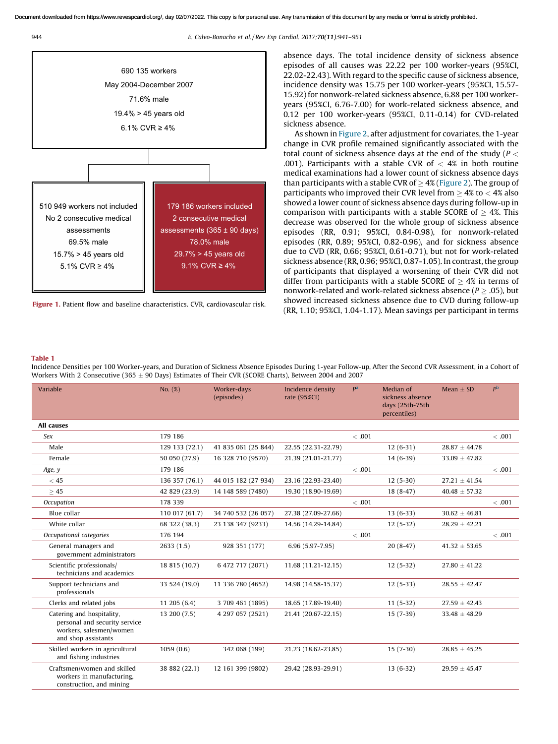<span id="page-3-0"></span>

944 E. Calvo-Bonacho et al. / Rev Esp Cardiol. 2017;70(11):941–951



Figure 1. Patient flow and baseline characteristics. CVR, cardiovascular risk.

absence days. The total incidence density of sickness absence episodes of all causes was 22.22 per 100 worker-years (95%CI, 22.02-22.43). With regard to the specific cause of sickness absence, incidence density was 15.75 per 100 worker-years (95%CI, 15.57- 15.92) for nonwork-related sickness absence, 6.88 per 100 workeryears (95%CI, 6.76-7.00) for work-related sickness absence, and 0.12 per 100 worker-years (95%CI, 0.11-0.14) for CVD-related sickness absence.

As shown in [Figure](#page-7-0) 2, after adjustment for covariates, the 1-year change in CVR profile remained significantly associated with the total count of sickness absence days at the end of the study ( $P <$ .001). Participants with a stable CVR of  $<$  4% in both routine medical examinations had a lower count of sickness absence days than participants with a stable CVR of  $>$  4% [\(Figure](#page-7-0) 2). The group of participants who improved their CVR level from  $\geq 4\%$  to  $< 4\%$  also showed a lower count of sickness absence days during follow-up in comparison with participants with a stable SCORE of  $\geq$  4%. This decrease was observed for the whole group of sickness absence episodes (RR, 0.91; 95%CI, 0.84-0.98), for nonwork-related episodes (RR, 0.89; 95%CI, 0.82-0.96), and for sickness absence due to CVD (RR, 0.66; 95%CI, 0.61-0.71), but not for work-related sickness absence (RR, 0.96; 95%CI, 0.87-1.05). In contrast, the group of participants that displayed a worsening of their CVR did not differ from participants with a stable SCORE of  $\geq$  4% in terms of nonwork-related and work-related sickness absence ( $P \geq .05$ ), but showed increased sickness absence due to CVD during follow-up (RR, 1.10; 95%CI, 1.04-1.17). Mean savings per participant in terms

#### Table 1

Incidence Densities per 100 Worker-years, and Duration of Sickness Absence Episodes During 1-year Follow-up, After the Second CVR Assessment, in a Cohort of Workers With 2 Consecutive (365  $\pm$  90 Days) Estimates of Their CVR (SCORE Charts), Between 2004 and 2007

| Variable                                                                                                     | No. (%)        | Worker-days<br>(episodes) | Incidence density<br>rate (95%CI) | P <sup>a</sup> | Median of<br>sickness absence<br>days (25th-75th<br>percentiles) | Mean $\pm$ SD     | P <sub>b</sub> |
|--------------------------------------------------------------------------------------------------------------|----------------|---------------------------|-----------------------------------|----------------|------------------------------------------------------------------|-------------------|----------------|
| All causes                                                                                                   |                |                           |                                   |                |                                                                  |                   |                |
| Sex                                                                                                          | 179 186        |                           |                                   | < .001         |                                                                  |                   | <.001          |
| Male                                                                                                         | 129 133 (72.1) | 41 835 061 (25 844)       | 22.55 (22.31-22.79)               |                | $12(6-31)$                                                       | $28.87 \pm 44.78$ |                |
| Female                                                                                                       | 50 050 (27.9)  | 16 328 710 (9570)         | 21.39 (21.01-21.77)               |                | $14(6-39)$                                                       | $33.09 \pm 47.82$ |                |
| Age, y                                                                                                       | 179 186        |                           |                                   | < .001         |                                                                  |                   | < .001         |
| < 45                                                                                                         | 136 357 (76.1) | 44 015 182 (27 934)       | 23.16 (22.93-23.40)               |                | $12(5-30)$                                                       | $27.21 \pm 41.54$ |                |
| >45                                                                                                          | 42 829 (23.9)  | 14 148 589 (7480)         | 19.30 (18.90-19.69)               |                | $18(8-47)$                                                       | $40.48 \pm 57.32$ |                |
| Occupation                                                                                                   | 178 339        |                           |                                   | < .001         |                                                                  |                   | <.001          |
| Blue collar                                                                                                  | 110 017 (61.7) | 34 740 532 (26 057)       | 27.38 (27.09-27.66)               |                | $13(6-33)$                                                       | $30.62 \pm 46.81$ |                |
| White collar                                                                                                 | 68 322 (38.3)  | 23 138 347 (9233)         | 14.56 (14.29-14.84)               |                | $12(5-32)$                                                       | $28.29 \pm 42.21$ |                |
| Occupational categories                                                                                      | 176 194        |                           |                                   | < .001         |                                                                  |                   | < .001         |
| General managers and<br>government administrators                                                            | 2633(1.5)      | 928 351 (177)             | $6.96(5.97-7.95)$                 |                | $20(8-47)$                                                       | $41.32 \pm 53.65$ |                |
| Scientific professionals/<br>technicians and academics                                                       | 18 815 (10.7)  | 6 472 717 (2071)          | 11.68 (11.21-12.15)               |                | $12(5-32)$                                                       | $27.80 \pm 41.22$ |                |
| Support technicians and<br>professionals                                                                     | 33 524 (19.0)  | 11 336 780 (4652)         | 14.98 (14.58-15.37)               |                | $12(5-33)$                                                       | $28.55 \pm 42.47$ |                |
| Clerks and related jobs                                                                                      | 11 205 (6.4)   | 3 709 461 (1895)          | 18.65 (17.89-19.40)               |                | $11(5-32)$                                                       | $27.59 \pm 42.43$ |                |
| Catering and hospitality,<br>personal and security service<br>workers, salesmen/women<br>and shop assistants | 13 200 (7.5)   | 4 297 057 (2521)          | 21.41 (20.67-22.15)               |                | $15(7-39)$                                                       | $33.48 \pm 48.29$ |                |
| Skilled workers in agricultural<br>and fishing industries                                                    | 1059(0.6)      | 342 068 (199)             | 21.23 (18.62-23.85)               |                | $15(7-30)$                                                       | $28.85 \pm 45.25$ |                |
| Craftsmen/women and skilled<br>workers in manufacturing,<br>construction, and mining                         | 38 882 (22.1)  | 12 161 399 (9802)         | 29.42 (28.93-29.91)               |                | $13(6-32)$                                                       | $29.59 \pm 45.47$ |                |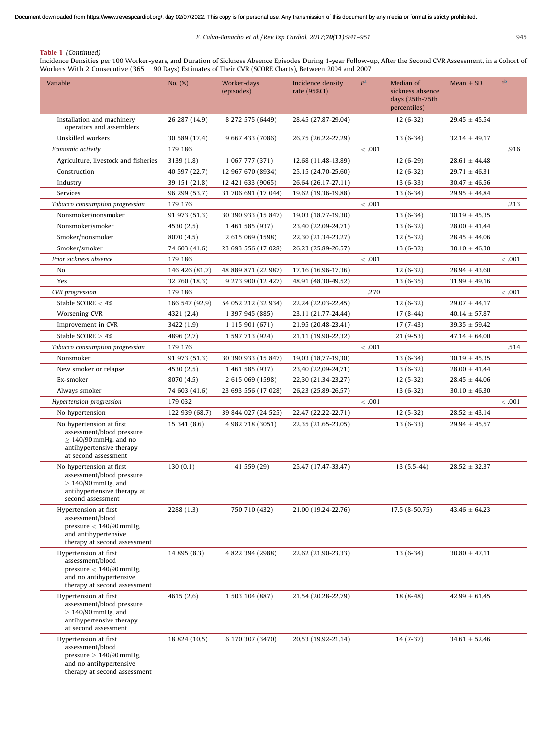# Table 1 (Continued)

Incidence Densities per 100 Worker-years, and Duration of Sickness Absence Episodes During 1-year Follow-up, After the Second CVR Assessment, in a Cohort of Workers With 2 Consecutive (365  $\pm$  90 Days) Estimates of Their CVR (SCORE Charts), Between 2004 and 2007

| Variable                                                                                                                             | No. (%)        | Worker-days<br>(episodes) | Incidence density<br>rate (95%CI) | P <sup>a</sup> | Median of<br>sickness absence<br>days (25th-75th<br>percentiles) | Mean $\pm$ SD     | $P^{\rm b}$ |
|--------------------------------------------------------------------------------------------------------------------------------------|----------------|---------------------------|-----------------------------------|----------------|------------------------------------------------------------------|-------------------|-------------|
| Installation and machinery<br>operators and assemblers                                                                               | 26 287 (14.9)  | 8 272 575 (6449)          | 28.45 (27.87-29.04)               |                | $12(6-32)$                                                       | $29.45 \pm 45.54$ |             |
| Unskilled workers                                                                                                                    | 30 589 (17.4)  | 9 667 433 (7086)          | 26.75 (26.22-27.29)               |                | $13(6-34)$                                                       | $32.14 \pm 49.17$ |             |
| Economic activity                                                                                                                    | 179 186        |                           |                                   | < .001         |                                                                  |                   | .916        |
| Agriculture, livestock and fisheries                                                                                                 | 3139(1.8)      | 1 067 777 (371)           | 12.68 (11.48-13.89)               |                | $12(6-29)$                                                       | $28.61 \pm 44.48$ |             |
| Construction                                                                                                                         | 40 597 (22.7)  | 12 967 670 (8934)         | 25.15 (24.70-25.60)               |                | $12(6-32)$                                                       | $29.71 \pm 46.31$ |             |
| Industry                                                                                                                             | 39 151 (21.8)  | 12 421 633 (9065)         | 26.64 (26.17-27.11)               |                | $13(6-33)$                                                       | $30.47 \pm 46.56$ |             |
| Services                                                                                                                             | 96 299 (53.7)  | 31 706 691 (17 044)       | 19.62 (19.36-19.88)               |                | $13(6-34)$                                                       | $29.95 \pm 44.84$ |             |
| Tobacco consumption progression                                                                                                      | 179 176        |                           |                                   | < .001         |                                                                  |                   | .213        |
| Nonsmoker/nonsmoker                                                                                                                  | 91 973 (51.3)  | 30 390 933 (15 847)       | 19.03 (18.77-19.30)               |                | $13(6-34)$                                                       | $30.19 \pm 45.35$ |             |
| Nonsmoker/smoker                                                                                                                     | 4530 (2.5)     | 1 461 585 (937)           | 23.40 (22.09-24.71)               |                | $13(6-32)$                                                       | $28.00 \pm 41.44$ |             |
| Smoker/nonsmoker                                                                                                                     | 8070 (4.5)     | 2 615 069 (1598)          | 22.30 (21.34-23.27)               |                | $12(5-32)$                                                       | $28.45 \pm 44.06$ |             |
| Smoker/smoker                                                                                                                        | 74 603 (41.6)  | 23 693 556 (17 028)       | 26.23 (25.89-26.57)               |                | $13(6-32)$                                                       | $30.10 \pm 46.30$ |             |
| Prior sickness absence                                                                                                               | 179 186        |                           |                                   | < .001         |                                                                  |                   | < .001      |
| No                                                                                                                                   | 146 426 (81.7) | 48 889 871 (22 987)       | 17.16 (16.96-17.36)               |                | $12(6-32)$                                                       | $28.94 \pm 43.60$ |             |
| Yes                                                                                                                                  | 32 760 (18.3)  | 9 273 900 (12 427)        | 48.91 (48.30-49.52)               |                | $13(6-35)$                                                       | $31.99 \pm 49.16$ |             |
| CVR progression                                                                                                                      | 179 186        |                           |                                   | .270           |                                                                  |                   | < .001      |
| Stable SCORE $<$ 4%                                                                                                                  | 166 547 (92.9) | 54 052 212 (32 934)       | 22.24 (22.03-22.45)               |                | $12(6-32)$                                                       | $29.07 \pm 44.17$ |             |
| Worsening CVR                                                                                                                        | 4321 (2.4)     | 1 397 945 (885)           | 23.11 (21.77-24.44)               |                | $17(8-44)$                                                       | $40.14 \pm 57.87$ |             |
| Improvement in CVR                                                                                                                   | 3422 (1.9)     | 1 115 901 (671)           | 21.95 (20.48-23.41)               |                | $17(7-43)$                                                       | $39.35 \pm 59.42$ |             |
| Stable SCORE $\geq 4\%$                                                                                                              | 4896 (2.7)     | 1 597 713 (924)           | 21.11 (19.90-22.32)               |                | $21(9-53)$                                                       | $47.14 \pm 64.00$ |             |
| Tobacco consumption progression                                                                                                      | 179 176        |                           |                                   | < .001         |                                                                  |                   | .514        |
| Nonsmoker                                                                                                                            | 91 973 (51.3)  | 30 390 933 (15 847)       | 19,03 (18,77-19,30)               |                | $13(6-34)$                                                       | $30.19 \pm 45.35$ |             |
| New smoker or relapse                                                                                                                | 4530 (2.5)     | 1 461 585 (937)           | 23,40 (22,09-24,71)               |                | $13(6-32)$                                                       | $28.00 \pm 41.44$ |             |
| Ex-smoker                                                                                                                            | 8070 (4.5)     | 2 615 069 (1598)          | 22,30 (21,34-23,27)               |                | $12(5-32)$                                                       | $28.45 \pm 44.06$ |             |
| Always smoker                                                                                                                        | 74 603 (41.6)  | 23 693 556 (17 028)       | 26,23 (25,89-26,57)               |                | $13(6-32)$                                                       | $30.10 \pm 46.30$ |             |
| Hypertension progression                                                                                                             | 179 032        |                           |                                   | < .001         |                                                                  |                   | < .001      |
| No hypertension                                                                                                                      | 122 939 (68.7) | 39 844 027 (24 525)       | 22.47 (22.22-22.71)               |                | $12(5-32)$                                                       | $28.52 \pm 43.14$ |             |
| No hypertension at first<br>assessment/blood pressure<br>$>140/90$ mmHg, and no<br>antihypertensive therapy<br>at second assessment  | 15 341 (8.6)   | 4 982 718 (3051)          | 22.35 (21.65-23.05)               |                | $13(6-33)$                                                       | $29.94 \pm 45.57$ |             |
| No hypertension at first<br>assessment/blood pressure<br>$\geq 140/90$ mmHg, and<br>antihypertensive therapy at<br>second assessment | 130(0.1)       | 41 559 (29)               | 25.47 (17.47-33.47)               |                | $13(5.5-44)$                                                     | $28.52 \pm 32.37$ |             |
| Hypertension at first<br>assessment/blood<br>pressure $< 140/90$ mmHg,<br>and antihypertensive<br>therapy at second assessment       | 2288 (1.3)     | 750 710 (432)             | 21.00 (19.24-22.76)               |                | 17.5 (8-50.75)                                                   | $43.46 \pm 64.23$ |             |
| Hypertension at first<br>assessment/blood<br>pressure $< 140/90$ mmHg,<br>and no antihypertensive<br>therapy at second assessment    | 14 895 (8.3)   | 4 822 394 (2988)          | 22.62 (21.90-23.33)               |                | $13(6-34)$                                                       | $30.80 \pm 47.11$ |             |
| Hypertension at first<br>assessment/blood pressure<br>$\geq 140/90$ mmHg, and<br>antihypertensive therapy<br>at second assessment    | 4615 (2.6)     | 1 503 104 (887)           | 21.54 (20.28-22.79)               |                | $18(8-48)$                                                       | $42.99 \pm 61.45$ |             |
| Hypertension at first<br>assessment/blood<br>pressure $\geq 140/90$ mmHg,<br>and no antihypertensive<br>therapy at second assessment | 18 824 (10.5)  | 6 170 307 (3470)          | 20.53 (19.92-21.14)               |                | $14(7-37)$                                                       | $34.61 \pm 52.46$ |             |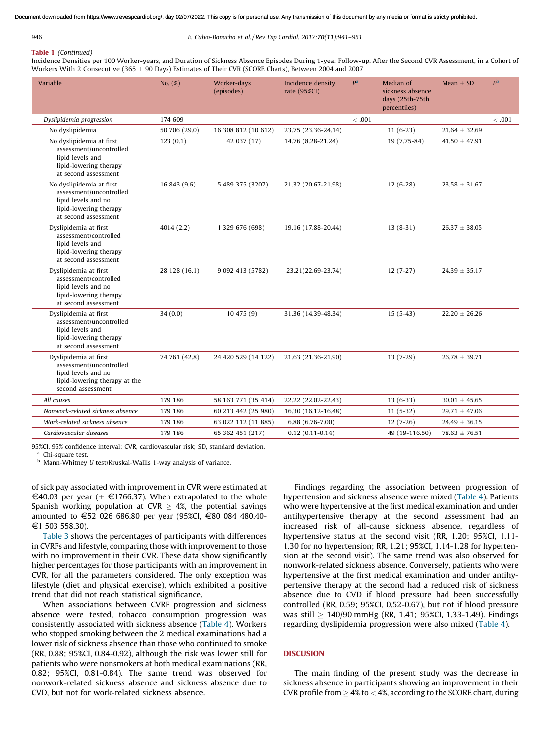<span id="page-5-0"></span>

#### 946 E. Calvo-Bonacho et al. / Rev Esp Cardiol. 2017;70(11):941–951

# Table 1 (Continued)

Incidence Densities per 100 Worker-years, and Duration of Sickness Absence Episodes During 1-year Follow-up, After the Second CVR Assessment, in a Cohort of Workers With 2 Consecutive (365  $\pm$  90 Days) Estimates of Their CVR (SCORE Charts), Between 2004 and 2007

| Variable                                                                                                                      | No. (%)       | Worker-days<br>(episodes) | Incidence density<br>rate (95%CI) | P <sup>a</sup> | Median of<br>sickness absence<br>days (25th-75th<br>percentiles) | Mean $\pm$ SD     | P <sub>b</sub> |
|-------------------------------------------------------------------------------------------------------------------------------|---------------|---------------------------|-----------------------------------|----------------|------------------------------------------------------------------|-------------------|----------------|
| Dyslipidemia progression                                                                                                      | 174 609       |                           |                                   | < .001         |                                                                  |                   | <.001          |
| No dyslipidemia                                                                                                               | 50 706 (29.0) | 16 308 812 (10 612)       | 23.75 (23.36-24.14)               |                | $11(6-23)$                                                       | $21.64 \pm 32.69$ |                |
| No dyslipidemia at first<br>assessment/uncontrolled<br>lipid levels and<br>lipid-lowering therapy<br>at second assessment     | 123(0.1)      | 42 037 (17)               | 14.76 (8.28-21.24)                |                | 19 (7.75-84)                                                     | $41.50 \pm 47.91$ |                |
| No dyslipidemia at first<br>assessment/uncontrolled<br>lipid levels and no<br>lipid-lowering therapy<br>at second assessment  | 16 843 (9.6)  | 5 489 375 (3207)          | 21.32 (20.67-21.98)               |                | $12(6-28)$                                                       | $23.58 \pm 31.67$ |                |
| Dyslipidemia at first<br>assessment/controlled<br>lipid levels and<br>lipid-lowering therapy<br>at second assessment          | 4014 (2.2)    | 1 329 676 (698)           | 19.16 (17.88-20.44)               |                | $13(8-31)$                                                       | $26.37 \pm 38.05$ |                |
| Dyslipidemia at first<br>assessment/controlled<br>lipid levels and no<br>lipid-lowering therapy<br>at second assessment       | 28 128 (16.1) | 9 092 413 (5782)          | 23.21(22.69-23.74)                |                | $12(7-27)$                                                       | $24.39 \pm 35.17$ |                |
| Dyslipidemia at first<br>assessment/uncontrolled<br>lipid levels and<br>lipid-lowering therapy<br>at second assessment.       | 34(0.0)       | 10475(9)                  | 31.36 (14.39-48.34)               |                | $15(5-43)$                                                       | $22.20 \pm 26.26$ |                |
| Dyslipidemia at first<br>assessment/uncontrolled<br>lipid levels and no<br>lipid-lowering therapy at the<br>second assessment | 74 761 (42.8) | 24 420 529 (14 122)       | 21.63 (21.36-21.90)               |                | $13(7-29)$                                                       | $26.78 \pm 39.71$ |                |
| All causes                                                                                                                    | 179 186       | 58 163 771 (35 414)       | 22.22 (22.02-22.43)               |                | $13(6-33)$                                                       | $30.01 \pm 45.65$ |                |
| Nonwork-related sickness absence                                                                                              | 179 186       | 60 213 442 (25 980)       | 16.30 (16.12-16.48)               |                | $11(5-32)$                                                       | $29.71 \pm 47.06$ |                |
| Work-related sickness absence                                                                                                 | 179 186       | 63 022 112 (11 885)       | $6.88(6.76-7.00)$                 |                | $12(7-26)$                                                       | $24.49 \pm 36.15$ |                |
| Cardiovascular diseases                                                                                                       | 179 186       | 65 362 451 (217)          | $0.12(0.11-0.14)$                 |                | 49 (19-116.50)                                                   | $78.63 \pm 76.51$ |                |

95%CI, 95% confidence interval; CVR, cardiovascular risk; SD, standard deviation.

<sup>a</sup> Chi-square test.

<sup>b</sup> Mann-Whitney U test/Kruskal-Wallis 1-way analysis of variance.

of sick pay associated with improvement in CVR were estimated at  $\in$ 40.03 per year ( $\pm$   $\in$ 1766.37). When extrapolated to the whole Spanish working population at CVR  $\geq$  4%, the potential savings amounted to €52 026 686.80 per year (95%CI, €80 084 480.40-€1 503 558.30).

[Table](#page-7-0) 3 shows the percentages of participants with differences in CVRFs and lifestyle, comparing those with improvement to those with no improvement in their CVR. These data show significantly higher percentages for those participants with an improvement in CVR, for all the parameters considered. The only exception was lifestyle (diet and physical exercise), which exhibited a positive trend that did not reach statistical significance.

When associations between CVRF progression and sickness absence were tested, tobacco consumption progression was consistently associated with sickness absence [\(Table](#page-8-0) 4). Workers who stopped smoking between the 2 medical examinations had a lower risk of sickness absence than those who continued to smoke (RR, 0.88; 95%CI, 0.84-0.92), although the risk was lower still for patients who were nonsmokers at both medical examinations (RR, 0.82; 95%CI, 0.81-0.84). The same trend was observed for nonwork-related sickness absence and sickness absence due to CVD, but not for work-related sickness absence.

Findings regarding the association between progression of hypertension and sickness absence were mixed [\(Table](#page-8-0) 4). Patients who were hypertensive at the first medical examination and under antihypertensive therapy at the second assessment had an increased risk of all-cause sickness absence, regardless of hypertensive status at the second visit (RR, 1.20; 95%CI, 1.11- 1.30 for no hypertension; RR, 1.21; 95%CI, 1.14-1.28 for hypertension at the second visit). The same trend was also observed for nonwork-related sickness absence. Conversely, patients who were hypertensive at the first medical examination and under antihypertensive therapy at the second had a reduced risk of sickness absence due to CVD if blood pressure had been successfully controlled (RR, 0.59; 95%CI, 0.52-0.67), but not if blood pressure was still  $\geq 140/90$  mmHg (RR, 1.41; 95%CI, 1.33-1.49). Findings regarding dyslipidemia progression were also mixed [\(Table](#page-8-0) 4).

# **DISCUSION**

The main finding of the present study was the decrease in sickness absence in participants showing an improvement in their CVR profile from  $\geq 4\%$  to  $< 4\%$ , according to the SCORE chart, during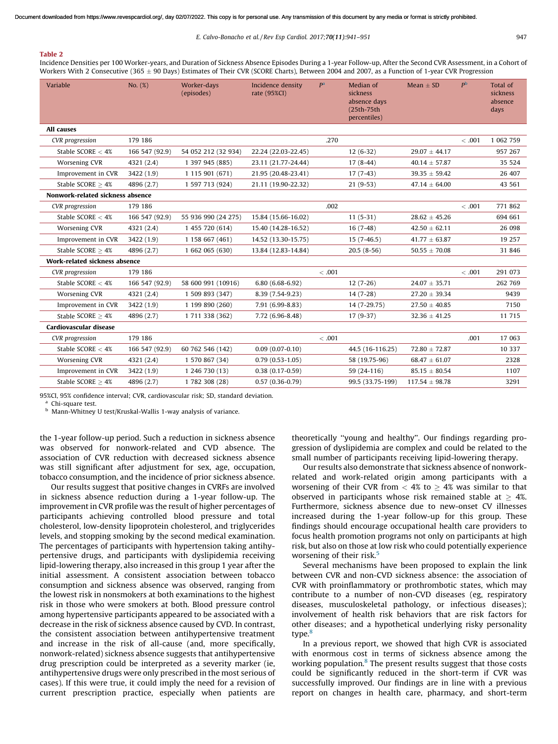#### <span id="page-6-0"></span>Table 2

Incidence Densities per 100 Worker-years, and Duration of Sickness Absence Episodes During a 1-year Follow-up, After the Second CVR Assessment, in a Cohort of Workers With 2 Consecutive (365  $\pm$  90 Days) Estimates of Their CVR (SCORE Charts), Between 2004 and 2007, as a Function of 1-year CVR Progression

| Variable                             | No. (%)        | Worker-days<br>(episodes) | Incidence density<br>rate (95%CI) | P <sup>a</sup> | Median of<br>sickness<br>absence days<br>(25th-75th<br>percentiles) | Mean $\pm$ SD      | P <sup>b</sup> | Total of<br>sickness<br>absence<br>days |
|--------------------------------------|----------------|---------------------------|-----------------------------------|----------------|---------------------------------------------------------------------|--------------------|----------------|-----------------------------------------|
| <b>All causes</b>                    |                |                           |                                   |                |                                                                     |                    |                |                                         |
| CVR progression                      | 179 186        |                           |                                   | .270           |                                                                     |                    | < .001         | 1 062 759                               |
| Stable SCORE $<$ 4%                  | 166 547 (92.9) | 54 052 212 (32 934)       | 22.24 (22.03-22.45)               |                | $12(6-32)$                                                          | $29.07 \pm 44.17$  |                | 957 267                                 |
| Worsening CVR                        | 4321 (2.4)     | 1 397 945 (885)           | 23.11 (21.77-24.44)               |                | $17(8-44)$                                                          | $40.14 \pm 57.87$  |                | 35 5 24                                 |
| Improvement in CVR                   | 3422 (1.9)     | 1 115 901 (671)           | 21.95 (20.48-23.41)               |                | $17(7-43)$                                                          | $39.35 \pm 59.42$  |                | 26 407                                  |
| Stable SCORE $>4%$                   | 4896 (2.7)     | 1 597 713 (924)           | 21.11 (19.90-22.32)               |                | $21(9-53)$                                                          | $47.14 \pm 64.00$  |                | 43 561                                  |
| Nonwork-related sickness absence     |                |                           |                                   |                |                                                                     |                    |                |                                         |
| CVR progression                      | 179 186        |                           |                                   | .002           |                                                                     |                    | < .001         | 771 862                                 |
| Stable SCORE $<$ 4%                  | 166 547 (92.9) | 55 936 990 (24 275)       | 15.84 (15.66-16.02)               |                | $11(5-31)$                                                          | $28.62 \pm 45.26$  |                | 694 661                                 |
| Worsening CVR                        | 4321 (2.4)     | 1 455 720 (614)           | 15.40 (14.28-16.52)               |                | $16(7-48)$                                                          | $42.50 \pm 62.11$  |                | 26 098                                  |
| Improvement in CVR                   | 3422 (1.9)     | 1 158 667 (461)           | 14.52 (13.30-15.75)               |                | $15(7-46.5)$                                                        | $41.77 \pm 63.87$  |                | 19 257                                  |
| Stable SCORE $> 4%$                  | 4896 (2.7)     | 1 662 065 (630)           | 13.84 (12.83-14.84)               |                | $20.5(8-56)$                                                        | $50.55 \pm 70.08$  |                | 31 846                                  |
| <b>Work-related sickness absence</b> |                |                           |                                   |                |                                                                     |                    |                |                                         |
| CVR progression                      | 179 186        |                           |                                   | < .001         |                                                                     |                    | < .001         | 291 073                                 |
| Stable SCORE $<$ 4%                  | 166 547 (92.9) | 58 600 991 (10916)        | $6.80(6.68 - 6.92)$               |                | $12(7-26)$                                                          | $24.07 \pm 35.71$  |                | 262 769                                 |
| Worsening CVR                        | 4321 (2.4)     | 1 509 893 (347)           | 8.39 (7.54-9.23)                  |                | $14(7-28)$                                                          | $27.20 \pm 39.34$  |                | 9439                                    |
| Improvement in CVR                   | 3422 (1.9)     | 1 199 890 (260)           | 7.91 (6.99-8.83)                  |                | 14 (7-29.75)                                                        | $27.50 \pm 40.85$  |                | 7150                                    |
| Stable SCORE $>4%$                   | 4896 (2.7)     | 1 711 338 (362)           | 7.72 (6.96-8.48)                  |                | $17(9-37)$                                                          | $32.36 \pm 41.25$  |                | 11 715                                  |
| Cardiovascular disease               |                |                           |                                   |                |                                                                     |                    |                |                                         |
| CVR progression                      | 179 186        |                           |                                   | < .001         |                                                                     |                    | .001           | 17 063                                  |
| Stable SCORE $<$ 4%                  | 166 547 (92.9) | 60 762 546 (142)          | $0.09(0.07-0.10)$                 |                | 44.5 (16-116.25)                                                    | $72.80 \pm 72.87$  |                | 10 3 37                                 |
| Worsening CVR                        | 4321 (2.4)     | 1 570 867 (34)            | $0.79(0.53 - 1.05)$               |                | 58 (19.75-96)                                                       | $68.47 \pm 61.07$  |                | 2328                                    |
| Improvement in CVR                   | 3422 (1.9)     | 1 246 730 (13)            | $0.38(0.17-0.59)$                 |                | 59 (24-116)                                                         | $85.15 \pm 80.54$  |                | 1107                                    |
| Stable SCORE $\geq 4\%$              | 4896 (2.7)     | 1 782 308 (28)            | $0.57(0.36-0.79)$                 |                | 99.5 (33.75-199)                                                    | $117.54 \pm 98.78$ |                | 3291                                    |

95%CI, 95% confidence interval; CVR, cardiovascular risk; SD, standard deviation.

a Chi-square test.

<sup>b</sup> Mann-Whitney U test/Kruskal-Wallis 1-way analysis of variance.

the 1-year follow-up period. Such a reduction in sickness absence was observed for nonwork-related and CVD absence. The association of CVR reduction with decreased sickness absence was still significant after adjustment for sex, age, occupation, tobacco consumption, and the incidence of prior sickness absence.

Our results suggest that positive changes in CVRFs are involved in sickness absence reduction during a 1-year follow-up. The improvement in CVR profile was the result of higher percentages of participants achieving controlled blood pressure and total cholesterol, low-density lipoprotein cholesterol, and triglycerides levels, and stopping smoking by the second medical examination. The percentages of participants with hypertension taking antihypertensive drugs, and participants with dyslipidemia receiving lipid-lowering therapy, also increased in this group 1 year after the initial assessment. A consistent association between tobacco consumption and sickness absence was observed, ranging from the lowest risk in nonsmokers at both examinations to the highest risk in those who were smokers at both. Blood pressure control among hypertensive participants appeared to be associated with a decrease in the risk of sickness absence caused by CVD. In contrast, the consistent association between antihypertensive treatment and increase in the risk of all-cause (and, more specifically, nonwork-related) sickness absence suggests that antihypertensive drug prescription could be interpreted as a severity marker (ie, antihypertensive drugs were only prescribed in the most serious of cases). If this were true, it could imply the need for a revision of current prescription practice, especially when patients are

theoretically ''young and healthy''. Our findings regarding progression of dyslipidemia are complex and could be related to the small number of participants receiving lipid-lowering therapy.

Our results also demonstrate that sickness absence of nonworkrelated and work-related origin among participants with a worsening of their CVR from  $<$  4% to  $\geq$  4% was similar to that observed in participants whose risk remained stable at  $\geq 4\%$ . Furthermore, sickness absence due to new-onset CV illnesses increased during the 1-year follow-up for this group. These findings should encourage occupational health care providers to focus health promotion programs not only on participants at high risk, but also on those at low risk who could potentially experience worsening of their risk. $<sup>5</sup>$  $<sup>5</sup>$  $<sup>5</sup>$ </sup>

Several mechanisms have been proposed to explain the link between CVR and non-CVD sickness absence: the association of CVR with proinflammatory or prothrombotic states, which may contribute to a number of non-CVD diseases (eg, respiratory diseases, musculoskeletal pathology, or infectious diseases); involvement of health risk behaviors that are risk factors for other diseases; and a hypothetical underlying risky personality type.<sup>[8](#page-10-0)</sup>

In a previous report, we showed that high CVR is associated with enormous cost in terms of sickness absence among the working population.<sup>[8](#page-10-0)</sup> The present results suggest that those costs could be significantly reduced in the short-term if CVR was successfully improved. Our findings are in line with a previous report on changes in health care, pharmacy, and short-term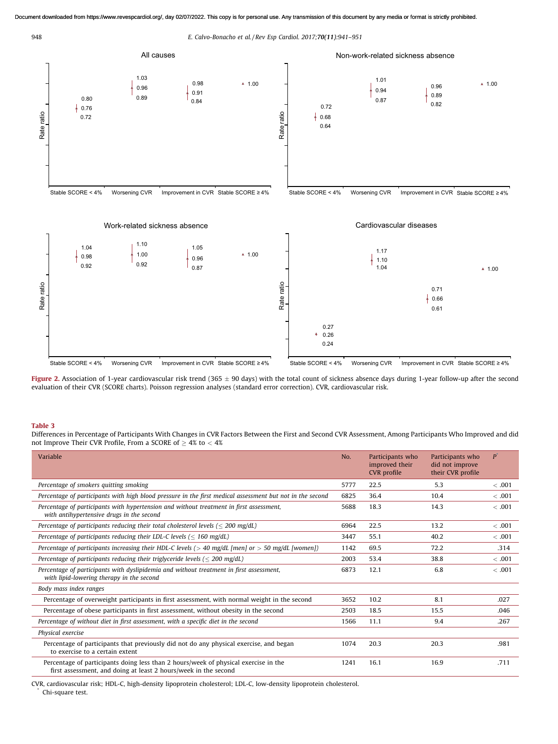<span id="page-7-0"></span>

Figure 2. Association of 1-year cardiovascular risk trend (365 ± 90 days) with the total count of sickness absence days during 1-year follow-up after the second evaluation of their CVR (SCORE charts). Poisson regression analyses (standard error correction). CVR, cardiovascular risk.

### Table 3

Differences in Percentage of Participants With Changes in CVR Factors Between the First and Second CVR Assessment, Among Participants Who Improved and did not Improve Their CVR Profile, From a SCORE of  $\geq 4\%$  to  $< 4\%$ 

| Variable                                                                                                                                               | No.  | Participants who<br>improved their<br>CVR profile | Participants who<br>did not improve<br>their CVR profile | P      |
|--------------------------------------------------------------------------------------------------------------------------------------------------------|------|---------------------------------------------------|----------------------------------------------------------|--------|
| Percentage of smokers quitting smoking                                                                                                                 | 5777 | 22.5                                              | 5.3                                                      | < .001 |
| Percentage of participants with high blood pressure in the first medical assessment but not in the second                                              | 6825 | 36.4                                              | 10.4                                                     | < .001 |
| Percentage of participants with hypertension and without treatment in first assessment,<br>with antihypertensive drugs in the second                   | 5688 | 18.3                                              | 14.3                                                     | < .001 |
| Percentage of participants reducing their total cholesterol levels ( $\leq$ 200 mg/dL)                                                                 | 6964 | 22.5                                              | 13.2                                                     | < .001 |
| Percentage of participants reducing their LDL-C levels ( $\leq 160$ mg/dL)                                                                             | 3447 | 55.1                                              | 40.2                                                     | < .001 |
| Percentage of participants increasing their HDL-C levels ( $>$ 40 mg/dL [men] or $>$ 50 mg/dL [women])                                                 | 1142 | 69.5                                              | 72.2                                                     | .314   |
| Percentage of participants reducing their triglyceride levels ( $\leq$ 200 mg/dL)                                                                      | 2003 | 53.4                                              | 38.8                                                     | < .001 |
| Percentage of participants with dyslipidemia and without treatment in first assessment,<br>with lipid-lowering therapy in the second                   | 6873 | 12.1                                              | 6.8                                                      | < .001 |
| Body mass index ranges                                                                                                                                 |      |                                                   |                                                          |        |
| Percentage of overweight participants in first assessment, with normal weight in the second                                                            | 3652 | 10.2                                              | 8.1                                                      | .027   |
| Percentage of obese participants in first assessment, without obesity in the second                                                                    | 2503 | 18.5                                              | 15.5                                                     | .046   |
| Percentage of without diet in first assessment, with a specific diet in the second                                                                     | 1566 | 11.1                                              | 9.4                                                      | .267   |
| Physical exercise                                                                                                                                      |      |                                                   |                                                          |        |
| Percentage of participants that previously did not do any physical exercise, and began<br>to exercise to a certain extent                              | 1074 | 20.3                                              | 20.3                                                     | .981   |
| Percentage of participants doing less than 2 hours/week of physical exercise in the<br>first assessment, and doing at least 2 hours/week in the second | 1241 | 16.1                                              | 16.9                                                     | .711   |

CVR, cardiovascular risk; HDL-C, high-density lipoprotein cholesterol; LDL-C, low-density lipoprotein cholesterol. \* Chi-square test.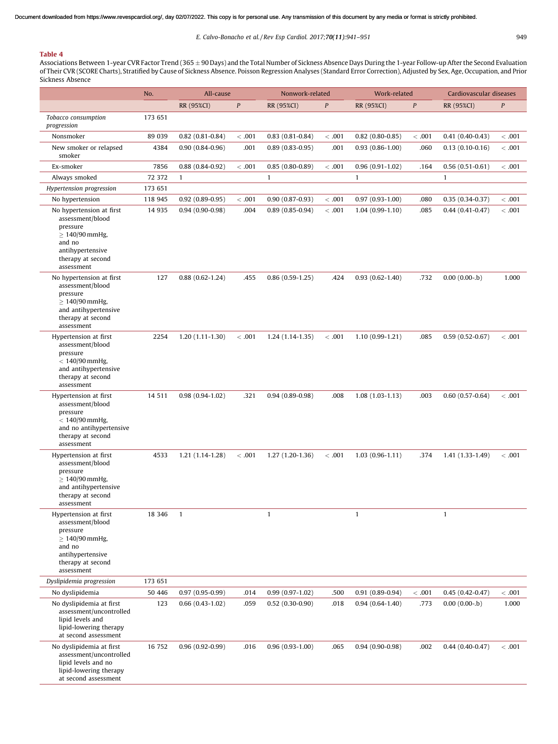# <span id="page-8-0"></span>Table 4

Associations Between 1-year CVR Factor Trend (365 ± 90 Days) and the Total Number of Sickness Absence Days During the 1-year Follow-up After the Second Evaluation of Their CVR (SCORE Charts), Stratified by Cause of Sickness Absence. Poisson Regression Analyses (Standard Error Correction), Adjusted by Sex, Age, Occupation, and Prior Sickness Absence

|                                                                                                                                                  | No.     | All-cause           |                  | Nonwork-related     |                  | Work-related        |                  | Cardiovascular diseases |        |  |
|--------------------------------------------------------------------------------------------------------------------------------------------------|---------|---------------------|------------------|---------------------|------------------|---------------------|------------------|-------------------------|--------|--|
|                                                                                                                                                  |         | RR (95%CI)          | $\boldsymbol{P}$ | RR (95%CI)          | $\boldsymbol{P}$ | RR (95%CI)          | $\boldsymbol{P}$ | RR (95%CI)              | P      |  |
| Tobacco consumption<br>progression                                                                                                               | 173 651 |                     |                  |                     |                  |                     |                  |                         |        |  |
| Nonsmoker                                                                                                                                        | 89 039  | $0.82$ (0.81-0.84)  | < .001           | $0.83(0.81 - 0.84)$ | < .001           | $0.82$ (0.80-0.85)  | < 0.001          | $0.41(0.40-0.43)$       | < .001 |  |
| New smoker or relapsed<br>smoker                                                                                                                 | 4384    | $0.90(0.84 - 0.96)$ | .001             | $0.89(0.83 - 0.95)$ | .001             | $0.93(0.86-1.00)$   | .060             | $0.13(0.10-0.16)$       | < .001 |  |
| Ex-smoker                                                                                                                                        | 7856    | $0.88(0.84-0.92)$   | < .001           | $0.85(0.80 - 0.89)$ | < .001           | $0.96(0.91-1.02)$   | .164             | $0.56(0.51-0.61)$       | < .001 |  |
| Always smoked                                                                                                                                    | 72 372  | $\mathbf{1}$        |                  | $\mathbf{1}$        |                  | $\mathbf{1}$        |                  | $\mathbf{1}$            |        |  |
| Hypertension progression                                                                                                                         | 173 651 |                     |                  |                     |                  |                     |                  |                         |        |  |
| No hypertension                                                                                                                                  | 118 945 | $0.92(0.89 - 0.95)$ | < .001           | $0.90(0.87-0.93)$   | < .001           | $0.97(0.93 - 1.00)$ | .080             | $0.35(0.34-0.37)$       | < .001 |  |
| No hypertension at first<br>assessment/blood<br>pressure<br>$\geq 140/90$ mmHg,<br>and no<br>antihypertensive<br>therapy at second<br>assessment | 14 9 35 | $0.94(0.90-0.98)$   | .004             | $0.89(0.85 - 0.94)$ | < .001           | $1.04(0.99-1.10)$   | .085             | $0.44(0.41-0.47)$       | < .001 |  |
| No hypertension at first<br>assessment/blood<br>pressure<br>$\geq 140/90$ mmHg,<br>and antihypertensive<br>therapy at second<br>assessment       | 127     | $0.88(0.62 - 1.24)$ | .455             | $0.86(0.59-1.25)$   | .424             | $0.93(0.62 - 1.40)$ | .732             | $0.00(0.00- b)$         | 1.000  |  |
| Hypertension at first<br>assessment/blood<br>pressure<br>$< 140/90$ mmHg,<br>and antihypertensive<br>therapy at second<br>assessment             | 2254    | $1.20(1.11-1.30)$   | < .001           | $1.24(1.14-1.35)$   | < .001           | $1.10(0.99-1.21)$   | .085             | $0.59(0.52 - 0.67)$     | <.001  |  |
| Hypertension at first<br>assessment/blood<br>pressure<br>$< 140/90$ mmHg,<br>and no antihypertensive<br>therapy at second<br>assessment          | 14 5 11 | $0.98(0.94-1.02)$   | .321             | $0.94(0.89 - 0.98)$ | .008             | $1.08(1.03-1.13)$   | .003             | $0.60(0.57-0.64)$       | <.001  |  |
| Hypertension at first<br>assessment/blood<br>pressure<br>$\geq 140/90$ mmHg,<br>and antihypertensive<br>therapy at second<br>assessment          | 4533    | $1.21(1.14-1.28)$   | < .001           | $1.27(1.20-1.36)$   | < .001           | $1.03(0.96-1.11)$   | .374             | $1.41(1.33-1.49)$       | < .001 |  |
| Hypertension at first<br>assessment/blood<br>pressure<br>$\geq 140/90$ mmHg,<br>and no<br>antihypertensive<br>therapy at second<br>assessment    | 18 346  | $\mathbf{1}$        |                  | $\mathbf{1}$        |                  | $\mathbf{1}$        |                  | $\mathbf{1}$            |        |  |
| Dyslipidemia progression                                                                                                                         | 173 651 |                     |                  |                     |                  |                     |                  |                         |        |  |
| No dyslipidemia                                                                                                                                  | 50 446  | $0.97(0.95 - 0.99)$ | .014             | $0.99(0.97-1.02)$   | .500             | $0.91(0.89-0.94)$   | < 0.001          | $0.45(0.42 - 0.47)$     | < .001 |  |
| No dyslipidemia at first<br>assessment/uncontrolled<br>lipid levels and<br>lipid-lowering therapy<br>at second assessment                        | 123     | $0.66(0.43-1.02)$   | .059             | $0.52(0.30-0.90)$   | .018             | $0.94(0.64-1.40)$   | .773             | $0.00(0.00- b)$         | 1.000  |  |
| No dyslipidemia at first<br>assessment/uncontrolled<br>lipid levels and no<br>lipid-lowering therapy<br>at second assessment                     | 16 752  | $0.96(0.92 - 0.99)$ | .016             | $0.96(0.93-1.00)$   | .065             | $0.94(0.90-0.98)$   | .002             | $0.44(0.40-0.47)$       | < .001 |  |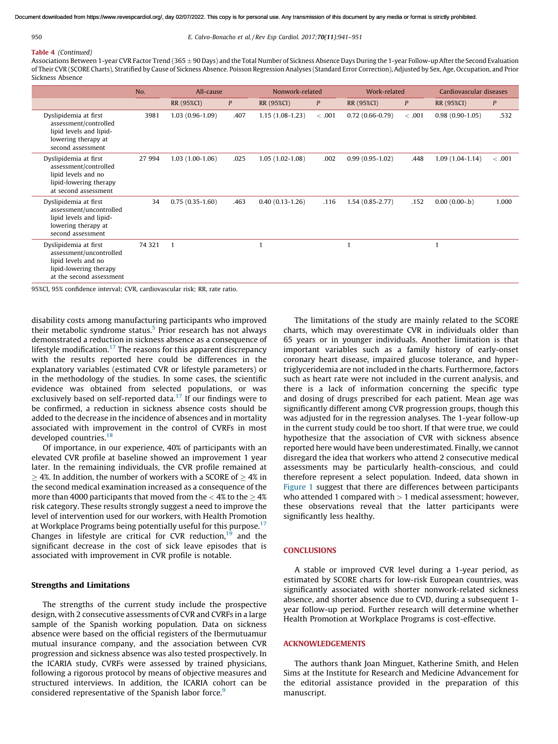#### 950 E. Calvo-Bonacho et al. / Rev Esp Cardiol. 2017;70(11):941–951

# Table 4 (Continued)

Associations Between 1-year CVR Factor Trend (365 ± 90 Days) and the Total Number of Sickness Absence Days During the 1-year Follow-up After the Second Evaluation of Their CVR (SCORE Charts), Stratified by Cause of Sickness Absence. Poisson Regression Analyses (Standard Error Correction), Adjusted by Sex, Age, Occupation, and Prior Sickness Absence

|                                                                                                                               | No.    | All-cause<br>Nonwork-related |      | Work-related        |        | Cardiovascular diseases |                  |                   |                  |
|-------------------------------------------------------------------------------------------------------------------------------|--------|------------------------------|------|---------------------|--------|-------------------------|------------------|-------------------|------------------|
|                                                                                                                               |        | RR (95%CI)                   | P    | RR (95%CI)          | P      | RR (95%CI)              | $\boldsymbol{P}$ | RR (95%CI)        | $\boldsymbol{P}$ |
| Dyslipidemia at first<br>assessment/controlled<br>lipid levels and lipid-<br>lowering therapy at<br>second assessment         | 3981   | $1.03(0.96-1.09)$            | .407 | $1.15(1.08-1.23)$   | < .001 | $0.72(0.66 - 0.79)$     | < .001           | $0.98(0.90-1.05)$ | .532             |
| Dyslipidemia at first<br>assessment/controlled<br>lipid levels and no<br>lipid-lowering therapy<br>at second assessment       | 27 994 | $1.03(1.00-1.06)$            | .025 | $1.05(1.02-1.08)$   | .002   | $0.99(0.95-1.02)$       | .448             | $1.09(1.04-1.14)$ | < .001           |
| Dyslipidemia at first<br>assessment/uncontrolled<br>lipid levels and lipid-<br>lowering therapy at<br>second assessment       | 34     | $0.75(0.35-1.60)$            | .463 | $0.40(0.13 - 1.26)$ | .116   | $1.54(0.85 - 2.77)$     | .152             | $0.00(0.00 - b)$  | 1.000            |
| Dyslipidemia at first<br>assessment/uncontrolled<br>lipid levels and no<br>lipid-lowering therapy<br>at the second assessment | 74 321 | $\mathbf{1}$                 |      |                     |        | $\mathbf{1}$            |                  | $\mathbf{1}$      |                  |

95%CI, 95% confidence interval; CVR, cardiovascular risk; RR, rate ratio.

disability costs among manufacturing participants who improved their metabolic syndrome status.<sup>[5](#page-10-0)</sup> Prior research has not always demonstrated a reduction in sickness absence as a consequence of lifestyle modification.<sup>[17](#page-10-0)</sup> The reasons for this apparent discrepancy with the results reported here could be differences in the explanatory variables (estimated CVR or lifestyle parameters) or in the methodology of the studies. In some cases, the scientific evidence was obtained from selected populations, or was exclusively based on self-reported data.<sup>[17](#page-10-0)</sup> If our findings were to be confirmed, a reduction in sickness absence costs should be added to the decrease in the incidence of absences and in mortality associated with improvement in the control of CVRFs in most developed countries.<sup>[18](#page-10-0)</sup>

Of importance, in our experience, 40% of participants with an elevated CVR profile at baseline showed an improvement 1 year later. In the remaining individuals, the CVR profile remained at  $\geq$  4%. In addition, the number of workers with a SCORE of  $\geq$  4% in the second medical examination increased as a consequence of the more than 4000 participants that moved from the  $<$  4% to the  $\geq$  4% risk category. These results strongly suggest a need to improve the level of intervention used for our workers, with Health Promotion at Workplace Programs being potentially useful for this purpose.<sup>[17](#page-10-0)</sup> Changes in lifestyle are critical for CVR reduction,<sup>[19](#page-10-0)</sup> and the significant decrease in the cost of sick leave episodes that is associated with improvement in CVR profile is notable.

### Strengths and Limitations

The strengths of the current study include the prospective design, with 2 consecutive assessments of CVR and CVRFs in a large sample of the Spanish working population. Data on sickness absence were based on the official registers of the Ibermutuamur mutual insurance company, and the association between CVR progression and sickness absence was also tested prospectively. In the ICARIA study, CVRFs were assessed by trained physicians, following a rigorous protocol by means of objective measures and structured interviews. In addition, the ICARIA cohort can be considered representative of the Spanish labor force.<sup>[9](#page-10-0)</sup>

The limitations of the study are mainly related to the SCORE charts, which may overestimate CVR in individuals older than 65 years or in younger individuals. Another limitation is that important variables such as a family history of early-onset coronary heart disease, impaired glucose tolerance, and hypertriglyceridemia are not included in the charts. Furthermore, factors such as heart rate were not included in the current analysis, and there is a lack of information concerning the specific type and dosing of drugs prescribed for each patient. Mean age was significantly different among CVR progression groups, though this was adjusted for in the regression analyses. The 1-year follow-up in the current study could be too short. If that were true, we could hypothesize that the association of CVR with sickness absence reported here would have been underestimated. Finally, we cannot disregard the idea that workers who attend 2 consecutive medical assessments may be particularly health-conscious, and could therefore represent a select population. Indeed, data shown in [Figure](#page-3-0) 1 suggest that there are differences between participants who attended 1 compared with  $> 1$  medical assessment; however, these observations reveal that the latter participants were significantly less healthy.

# **CONCLUSIONS**

A stable or improved CVR level during a 1-year period, as estimated by SCORE charts for low-risk European countries, was significantly associated with shorter nonwork-related sickness absence, and shorter absence due to CVD, during a subsequent 1 year follow-up period. Further research will determine whether Health Promotion at Workplace Programs is cost-effective.

## ACKNOWLEDGEMENTS

The authors thank Joan Minguet, Katherine Smith, and Helen Sims at the Institute for Research and Medicine Advancement for the editorial assistance provided in the preparation of this manuscript.